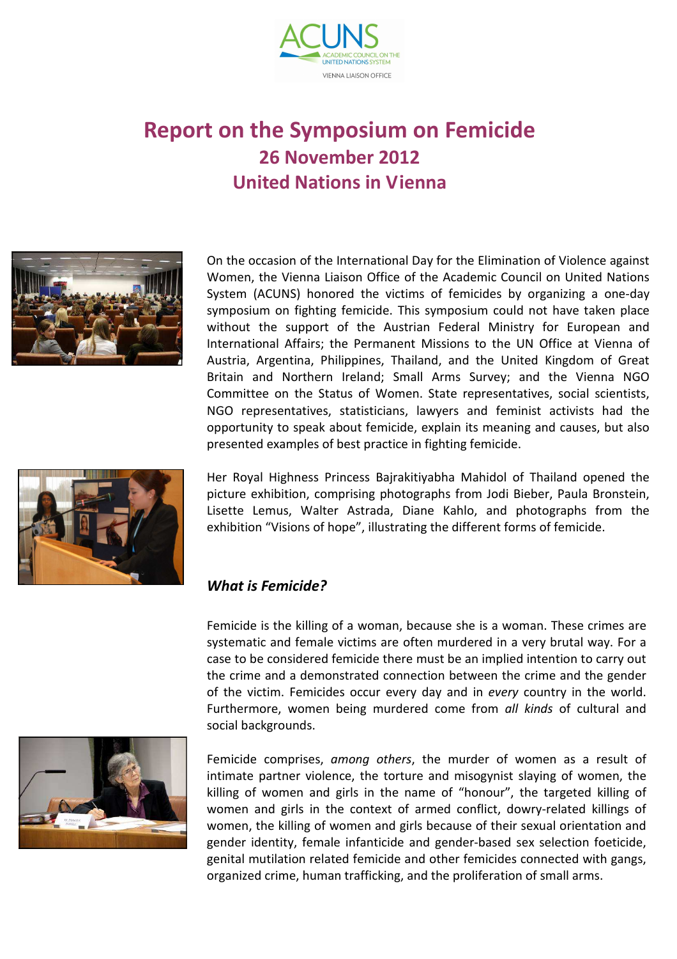

## **Report on the Symposium on Femicide 26 November 2012 United Nations in Vienna**



On the occasion of the International Day for the Elimination of Violence against Women, the Vienna Liaison Office of the Academic Council on United Nations System (ACUNS) honored the victims of femicides by organizing a one-day symposium on fighting femicide. This symposium could not have taken place without the support of the Austrian Federal Ministry for European and International Affairs; the Permanent Missions to the UN Office at Vienna of Austria, Argentina, Philippines, Thailand, and the United Kingdom of Great Britain and Northern Ireland; Small Arms Survey; and the Vienna NGO Committee on the Status of Women. State representatives, social scientists, NGO representatives, statisticians, lawyers and feminist activists had the opportunity to speak about femicide, explain its meaning and causes, but also presented examples of best practice in fighting femicide.



Her Royal Highness Princess Bajrakitiyabha Mahidol of Thailand opened the picture exhibition, comprising photographs from Jodi Bieber, Paula Bronstein, Lisette Lemus, Walter Astrada, Diane Kahlo, and photographs from the exhibition "Visions of hope", illustrating the different forms of femicide.

## *What is Femicide?*

Femicide is the killing of a woman, because she is a woman. These crimes are systematic and female victims are often murdered in a very brutal way. For a case to be considered femicide there must be an implied intention to carry out the crime and a demonstrated connection between the crime and the gender of the victim. Femicides occur every day and in *every* country in the world. Furthermore, women being murdered come from *all kinds* of cultural and social backgrounds.



Femicide comprises, *among others*, the murder of women as a result of intimate partner violence, the torture and misogynist slaying of women, the killing of women and girls in the name of "honour", the targeted killing of women and girls in the context of armed conflict, dowry-related killings of women, the killing of women and girls because of their sexual orientation and gender identity, female infanticide and gender-based sex selection foeticide, genital mutilation related femicide and other femicides connected with gangs, organized crime, human trafficking, and the proliferation of small arms.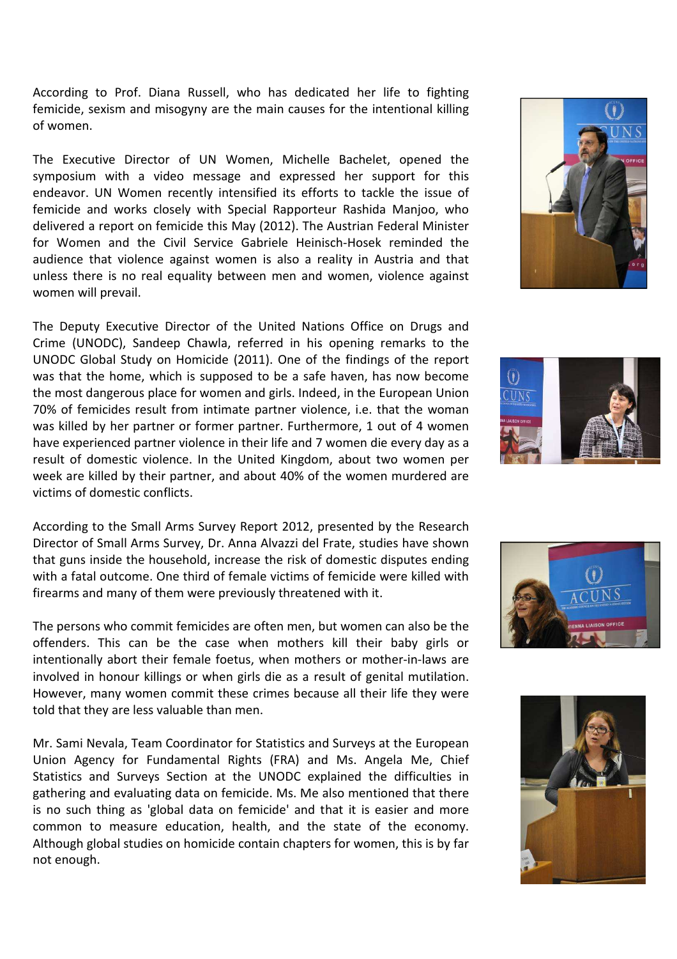According to Prof. Diana Russell, who has dedicated her life to fighting femicide, sexism and misogyny are the main causes for the intentional killing of women.

The Executive Director of UN Women, Michelle Bachelet, opened the symposium with a video message and expressed her support for this endeavor. UN Women recently intensified its efforts to tackle the issue of femicide and works closely with Special Rapporteur Rashida Manjoo, who delivered a report on femicide this May (2012). The Austrian Federal Minister for Women and the Civil Service Gabriele Heinisch-Hosek reminded the audience that violence against women is also a reality in Austria and that unless there is no real equality between men and women, violence against women will prevail.

The Deputy Executive Director of the United Nations Office on Drugs and Crime (UNODC), Sandeep Chawla, referred in his opening remarks to the UNODC Global Study on Homicide (2011). One of the findings of the report was that the home, which is supposed to be a safe haven, has now become the most dangerous place for women and girls. Indeed, in the European Union 70% of femicides result from intimate partner violence, i.e. that the woman was killed by her partner or former partner. Furthermore, 1 out of 4 women have experienced partner violence in their life and 7 women die every day as a result of domestic violence. In the United Kingdom, about two women per week are killed by their partner, and about 40% of the women murdered are victims of domestic conflicts.

According to the Small Arms Survey Report 2012, presented by the Research Director of Small Arms Survey, Dr. Anna Alvazzi del Frate, studies have shown that guns inside the household, increase the risk of domestic disputes ending with a fatal outcome. One third of female victims of femicide were killed with firearms and many of them were previously threatened with it.

The persons who commit femicides are often men, but women can also be the offenders. This can be the case when mothers kill their baby girls or intentionally abort their female foetus, when mothers or mother-in-laws are involved in honour killings or when girls die as a result of genital mutilation. However, many women commit these crimes because all their life they were told that they are less valuable than men.

Mr. Sami Nevala, Team Coordinator for Statistics and Surveys at the European Union Agency for Fundamental Rights (FRA) and Ms. Angela Me, Chief Statistics and Surveys Section at the UNODC explained the difficulties in gathering and evaluating data on femicide. Ms. Me also mentioned that there is no such thing as 'global data on femicide' and that it is easier and more common to measure education, health, and the state of the economy. Although global studies on homicide contain chapters for women, this is by far not enough.







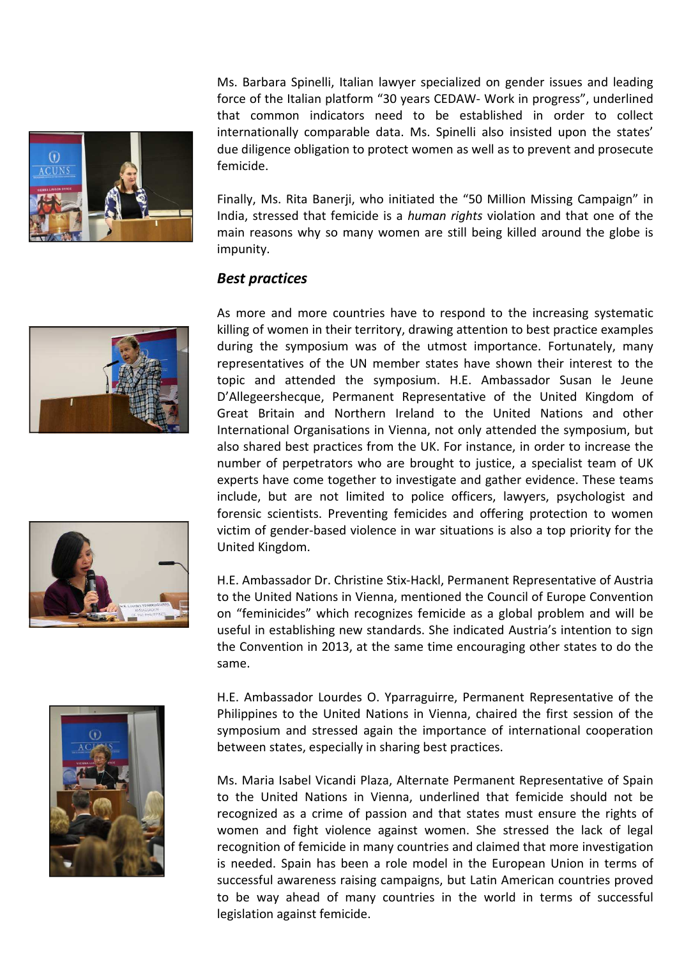

Ms. Barbara Spinelli, Italian lawyer specialized on gender issues and leading force of the Italian platform "30 years CEDAW- Work in progress", underlined that common indicators need to be established in order to collect internationally comparable data. Ms. Spinelli also insisted upon the states' due diligence obligation to protect women as well as to prevent and prosecute femicide.

Finally, Ms. Rita Banerji, who initiated the "50 Million Missing Campaign" in India, stressed that femicide is a *human rights* violation and that one of the main reasons why so many women are still being killed around the globe is impunity.

## *Best practices*



As more and more countries have to respond to the increasing systematic killing of women in their territory, drawing attention to best practice examples during the symposium was of the utmost importance. Fortunately, many representatives of the UN member states have shown their interest to the topic and attended the symposium. H.E. Ambassador Susan le Jeune D'Allegeershecque, Permanent Representative of the United Kingdom of Great Britain and Northern Ireland to the United Nations and other International Organisations in Vienna, not only attended the symposium, but also shared best practices from the UK. For instance, in order to increase the number of perpetrators who are brought to justice, a specialist team of UK experts have come together to investigate and gather evidence. These teams include, but are not limited to police officers, lawyers, psychologist and forensic scientists. Preventing femicides and offering protection to women victim of gender-based violence in war situations is also a top priority for the United Kingdom.

H.E. Ambassador Dr. Christine Stix-Hackl, Permanent Representative of Austria to the United Nations in Vienna, mentioned the Council of Europe Convention on "feminicides" which recognizes femicide as a global problem and will be useful in establishing new standards. She indicated Austria's intention to sign the Convention in 2013, at the same time encouraging other states to do the same.



H.E. Ambassador Lourdes O. Yparraguirre, Permanent Representative of the Philippines to the United Nations in Vienna, chaired the first session of the symposium and stressed again the importance of international cooperation between states, especially in sharing best practices.

Ms. Maria Isabel Vicandi Plaza, Alternate Permanent Representative of Spain to the United Nations in Vienna, underlined that femicide should not be recognized as a crime of passion and that states must ensure the rights of women and fight violence against women. She stressed the lack of legal recognition of femicide in many countries and claimed that more investigation is needed. Spain has been a role model in the European Union in terms of successful awareness raising campaigns, but Latin American countries proved to be way ahead of many countries in the world in terms of successful legislation against femicide.

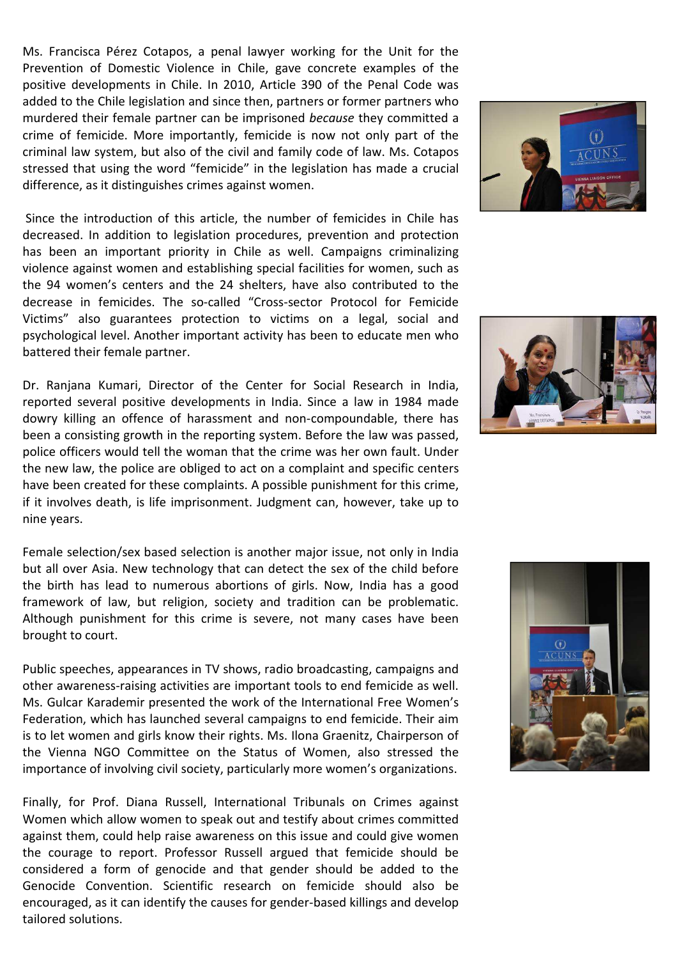Ms. Francisca Pérez Cotapos, a penal lawyer working for the Unit for the Prevention of Domestic Violence in Chile, gave concrete examples of the positive developments in Chile. In 2010, Article 390 of the Penal Code was added to the Chile legislation and since then, partners or former partners who murdered their female partner can be imprisoned *because* they committed a crime of femicide. More importantly, femicide is now not only part of the criminal law system, but also of the civil and family code of law. Ms. Cotapos stressed that using the word "femicide" in the legislation has made a crucial difference, as it distinguishes crimes against women.

 Since the introduction of this article, the number of femicides in Chile has decreased. In addition to legislation procedures, prevention and protection has been an important priority in Chile as well. Campaigns criminalizing violence against women and establishing special facilities for women, such as the 94 women's centers and the 24 shelters, have also contributed to the decrease in femicides. The so-called "Cross-sector Protocol for Femicide Victims" also guarantees protection to victims on a legal, social and psychological level. Another important activity has been to educate men who battered their female partner.

Dr. Ranjana Kumari, Director of the Center for Social Research in India, reported several positive developments in India. Since a law in 1984 made dowry killing an offence of harassment and non-compoundable, there has been a consisting growth in the reporting system. Before the law was passed, police officers would tell the woman that the crime was her own fault. Under the new law, the police are obliged to act on a complaint and specific centers have been created for these complaints. A possible punishment for this crime, if it involves death, is life imprisonment. Judgment can, however, take up to nine years.

Female selection/sex based selection is another major issue, not only in India but all over Asia. New technology that can detect the sex of the child before the birth has lead to numerous abortions of girls. Now, India has a good framework of law, but religion, society and tradition can be problematic. Although punishment for this crime is severe, not many cases have been brought to court.

Public speeches, appearances in TV shows, radio broadcasting, campaigns and other awareness-raising activities are important tools to end femicide as well. Ms. Gulcar Karademir presented the work of the International Free Women's Federation, which has launched several campaigns to end femicide. Their aim is to let women and girls know their rights. Ms. Ilona Graenitz, Chairperson of the Vienna NGO Committee on the Status of Women, also stressed the importance of involving civil society, particularly more women's organizations.

Finally, for Prof. Diana Russell, International Tribunals on Crimes against Women which allow women to speak out and testify about crimes committed against them, could help raise awareness on this issue and could give women the courage to report. Professor Russell argued that femicide should be considered a form of genocide and that gender should be added to the Genocide Convention. Scientific research on femicide should also be encouraged, as it can identify the causes for gender-based killings and develop tailored solutions.